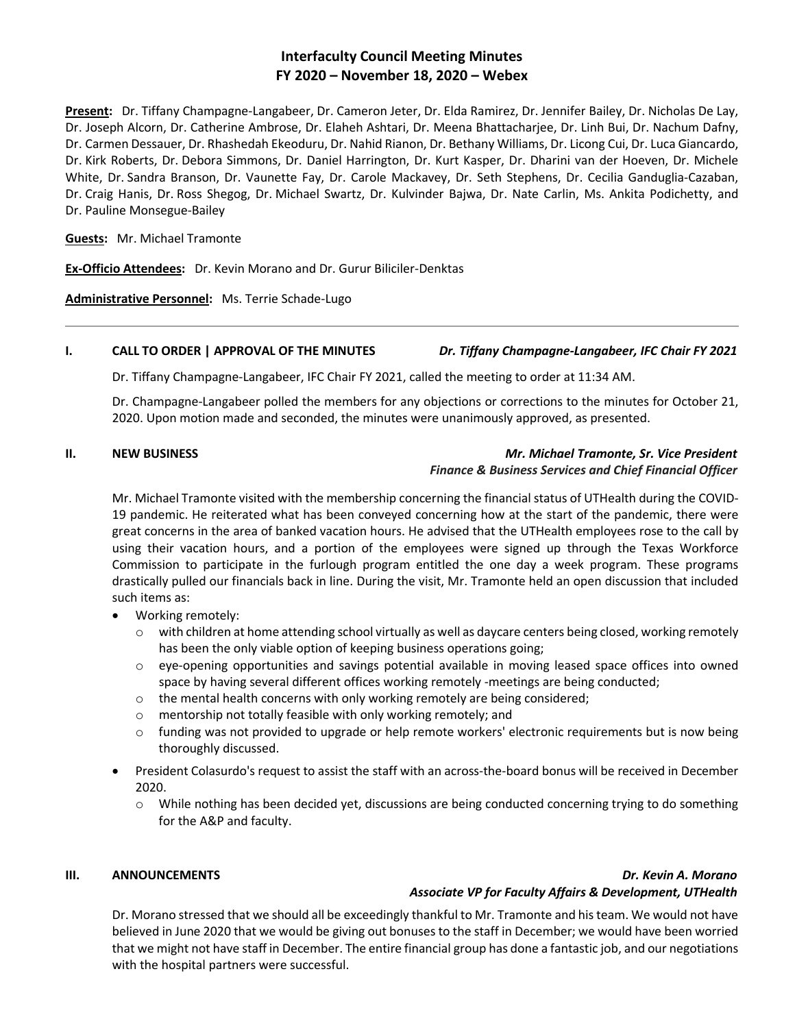# **Interfaculty Council Meeting Minutes FY 2020 – November 18, 2020 – Webex**

**Present:** Dr. Tiffany Champagne-Langabeer, Dr. Cameron Jeter, Dr. Elda Ramirez, Dr. Jennifer Bailey, Dr. Nicholas De Lay, Dr. Joseph Alcorn, Dr. Catherine Ambrose, Dr. Elaheh Ashtari, Dr. Meena Bhattacharjee, Dr. Linh Bui, Dr. Nachum Dafny, Dr. Carmen Dessauer, Dr. Rhashedah Ekeoduru, Dr. Nahid Rianon, Dr. Bethany Williams, Dr. Licong Cui, Dr. Luca Giancardo, Dr. Kirk Roberts, Dr. Debora Simmons, Dr. Daniel Harrington, Dr. Kurt Kasper, Dr. Dharini van der Hoeven, Dr. Michele White, Dr. Sandra Branson, Dr. Vaunette Fay, Dr. Carole Mackavey, Dr. Seth Stephens, Dr. Cecilia Ganduglia-Cazaban, Dr. Craig Hanis, Dr. Ross Shegog, Dr. Michael Swartz, Dr. Kulvinder Bajwa, Dr. Nate Carlin, Ms. Ankita Podichetty, and Dr. Pauline Monsegue-Bailey

**Guests:** Mr. Michael Tramonte

**Ex-Officio Attendees:** Dr. Kevin Morano and Dr. Gurur Biliciler-Denktas

**Administrative Personnel:** Ms. Terrie Schade-Lugo

## **I. CALL TO ORDER | APPROVAL OF THE MINUTES** *Dr. Tiffany Champagne-Langabeer, IFC Chair FY 2021*

Dr. Tiffany Champagne-Langabeer, IFC Chair FY 2021, called the meeting to order at 11:34 AM.

Dr. Champagne-Langabeer polled the members for any objections or corrections to the minutes for October 21, 2020. Upon motion made and seconded, the minutes were unanimously approved, as presented.

## **II. NEW BUSINESS** *Mr. Michael Tramonte, Sr. Vice President Finance & Business Services and Chief Financial Officer*

Mr. Michael Tramonte visited with the membership concerning the financial status of UTHealth during the COVID-19 pandemic. He reiterated what has been conveyed concerning how at the start of the pandemic, there were great concerns in the area of banked vacation hours. He advised that the UTHealth employees rose to the call by using their vacation hours, and a portion of the employees were signed up through the Texas Workforce Commission to participate in the furlough program entitled the one day a week program. These programs drastically pulled our financials back in line. During the visit, Mr. Tramonte held an open discussion that included such items as:

- Working remotely:
	- $\circ$  with children at home attending school virtually as well as daycare centers being closed, working remotely has been the only viable option of keeping business operations going;
	- o eye-opening opportunities and savings potential available in moving leased space offices into owned space by having several different offices working remotely -meetings are being conducted;
	- $\circ$  the mental health concerns with only working remotely are being considered;
	- o mentorship not totally feasible with only working remotely; and
	- $\circ$  funding was not provided to upgrade or help remote workers' electronic requirements but is now being thoroughly discussed.
- President Colasurdo's request to assist the staff with an across-the-board bonus will be received in December 2020.
	- o While nothing has been decided yet, discussions are being conducted concerning trying to do something for the A&P and faculty.

# **III. ANNOUNCEMENTS** *Dr. Kevin A. Morano Associate VP for Faculty Affairs & Development, UTHealth*

Dr. Morano stressed that we should all be exceedingly thankful to Mr. Tramonte and his team. We would not have believed in June 2020 that we would be giving out bonuses to the staff in December; we would have been worried that we might not have staff in December. The entire financial group has done a fantastic job, and our negotiations with the hospital partners were successful.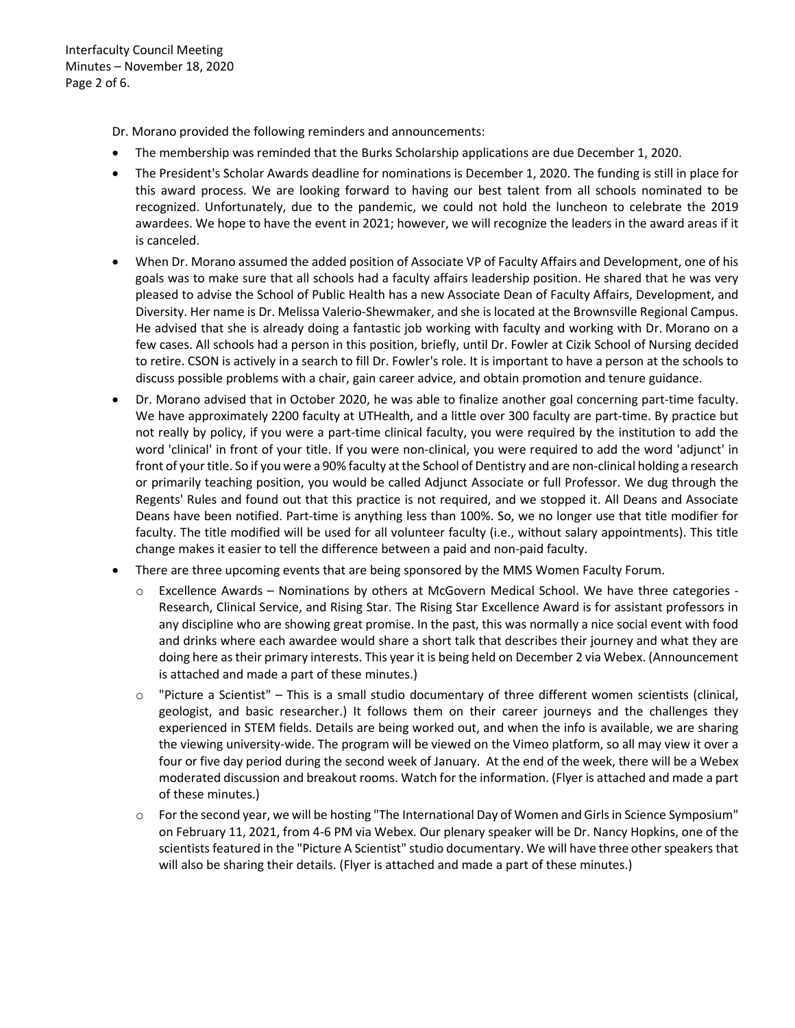Interfaculty Council Meeting Minutes – November 18, 2020 Page 2 of 6.

Dr. Morano provided the following reminders and announcements:

- The membership was reminded that the Burks Scholarship applications are due December 1, 2020.
- The President's Scholar Awards deadline for nominations is December 1, 2020. The funding is still in place for this award process. We are looking forward to having our best talent from all schools nominated to be recognized. Unfortunately, due to the pandemic, we could not hold the luncheon to celebrate the 2019 awardees. We hope to have the event in 2021; however, we will recognize the leaders in the award areas if it is canceled.
- When Dr. Morano assumed the added position of Associate VP of Faculty Affairs and Development, one of his goals was to make sure that all schools had a faculty affairs leadership position. He shared that he was very pleased to advise the School of Public Health has a new Associate Dean of Faculty Affairs, Development, and Diversity. Her name is Dr. Melissa Valerio-Shewmaker, and she is located at the Brownsville Regional Campus. He advised that she is already doing a fantastic job working with faculty and working with Dr. Morano on a few cases. All schools had a person in this position, briefly, until Dr. Fowler at Cizik School of Nursing decided to retire. CSON is actively in a search to fill Dr. Fowler's role. It is important to have a person at the schools to discuss possible problems with a chair, gain career advice, and obtain promotion and tenure guidance.
- Dr. Morano advised that in October 2020, he was able to finalize another goal concerning part-time faculty. We have approximately 2200 faculty at UTHealth, and a little over 300 faculty are part-time. By practice but not really by policy, if you were a part-time clinical faculty, you were required by the institution to add the word 'clinical' in front of your title. If you were non-clinical, you were required to add the word 'adjunct' in front of your title. So if you were a 90% faculty at the School of Dentistry and are non-clinical holding a research or primarily teaching position, you would be called Adjunct Associate or full Professor. We dug through the Regents' Rules and found out that this practice is not required, and we stopped it. All Deans and Associate Deans have been notified. Part-time is anything less than 100%. So, we no longer use that title modifier for faculty. The title modified will be used for all volunteer faculty (i.e., without salary appointments). This title change makes it easier to tell the difference between a paid and non-paid faculty.
- There are three upcoming events that are being sponsored by the MMS Women Faculty Forum.
	- Excellence Awards Nominations by others at McGovern Medical School. We have three categories -Research, Clinical Service, and Rising Star. The Rising Star Excellence Award is for assistant professors in any discipline who are showing great promise. In the past, this was normally a nice social event with food and drinks where each awardee would share a short talk that describes their journey and what they are doing here as their primary interests. This year it is being held on December 2 via Webex. (Announcement is attached and made a part of these minutes.)
	- "Picture a Scientist" This is a small studio documentary of three different women scientists (clinical, geologist, and basic researcher.) It follows them on their career journeys and the challenges they experienced in STEM fields. Details are being worked out, and when the info is available, we are sharing the viewing university-wide. The program will be viewed on the Vimeo platform, so all may view it over a four or five day period during the second week of January. At the end of the week, there will be a Webex moderated discussion and breakout rooms. Watch for the information. (Flyer is attached and made a part of these minutes.)
	- o For the second year, we will be hosting "The International Day of Women and Girls in Science Symposium" on February 11, 2021, from 4-6 PM via Webex. Our plenary speaker will be Dr. Nancy Hopkins, one of the scientists featured in the "Picture A Scientist" studio documentary. We will have three other speakers that will also be sharing their details. (Flyer is attached and made a part of these minutes.)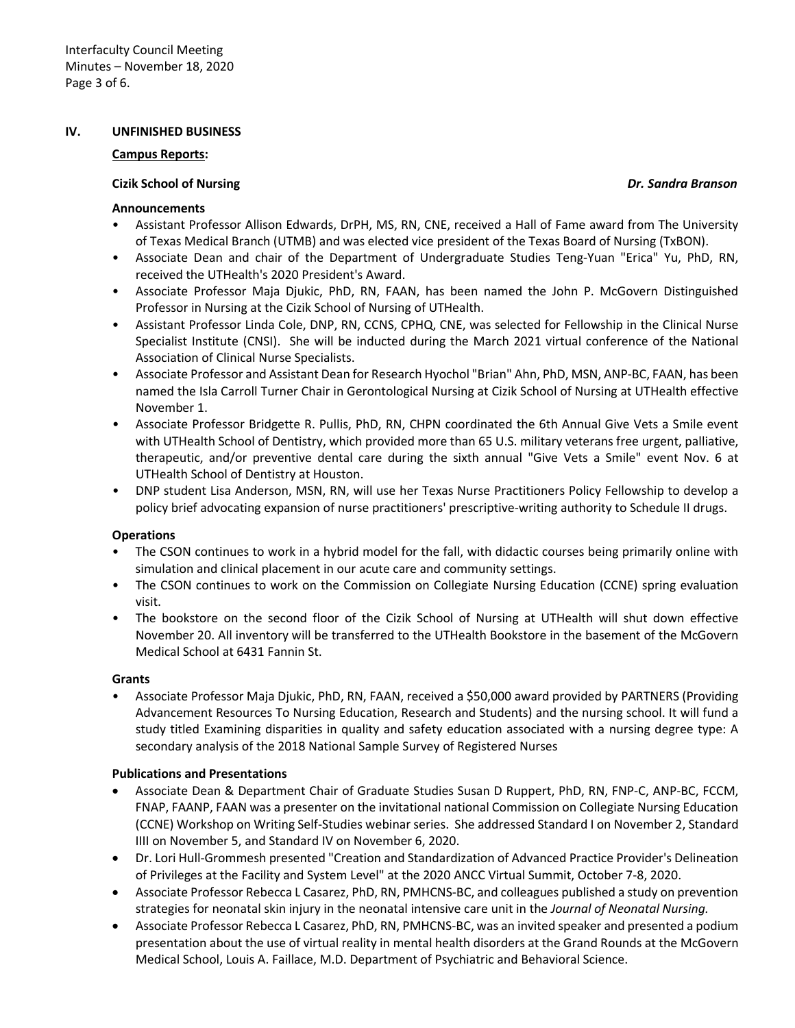#### **IV. UNFINISHED BUSINESS**

#### **Campus Reports:**

#### **Cizik School of Nursing** *Dr. Sandra Branson*

#### **Announcements**

- Assistant Professor Allison Edwards, DrPH, MS, RN, CNE, received a Hall of Fame award from The University of Texas Medical Branch (UTMB) and was elected vice president of the Texas Board of Nursing (TxBON).
- Associate Dean and chair of the Department of Undergraduate Studies Teng-Yuan "Erica" Yu, PhD, RN, received the UTHealth's 2020 President's Award.
- Associate Professor Maja Djukic, PhD, RN, FAAN, has been named the John P. McGovern Distinguished Professor in Nursing at the Cizik School of Nursing of UTHealth.
- Assistant Professor Linda Cole, DNP, RN, CCNS, CPHQ, CNE, was selected for Fellowship in the Clinical Nurse Specialist Institute (CNSI). She will be inducted during the March 2021 virtual conference of the National Association of Clinical Nurse Specialists.
- Associate Professor and Assistant Dean for Research Hyochol "Brian" Ahn, PhD, MSN, ANP-BC, FAAN, has been named the Isla Carroll Turner Chair in Gerontological Nursing at Cizik School of Nursing at UTHealth effective November 1.
- Associate Professor Bridgette R. Pullis, PhD, RN, CHPN coordinated the 6th Annual Give Vets a Smile event with UTHealth School of Dentistry, which provided more than 65 U.S. military veterans free urgent, palliative, therapeutic, and/or preventive dental care during the sixth annual "Give Vets a Smile" event Nov. 6 at UTHealth School of Dentistry at Houston.
- DNP student Lisa Anderson, MSN, RN, will use her Texas Nurse Practitioners Policy Fellowship to develop a policy brief advocating expansion of nurse practitioners' prescriptive-writing authority to Schedule II drugs.

### **Operations**

- The CSON continues to work in a hybrid model for the fall, with didactic courses being primarily online with simulation and clinical placement in our acute care and community settings.
- The CSON continues to work on the Commission on Collegiate Nursing Education (CCNE) spring evaluation visit.
- The bookstore on the second floor of the Cizik School of Nursing at UTHealth will shut down effective November 20. All inventory will be transferred to the UTHealth Bookstore in the basement of the McGovern Medical School at 6431 Fannin St.

#### **Grants**

• Associate Professor Maja Djukic, PhD, RN, FAAN, received a \$50,000 award provided by PARTNERS (Providing Advancement Resources To Nursing Education, Research and Students) and the nursing school. It will fund a study titled Examining disparities in quality and safety education associated with a nursing degree type: A secondary analysis of the 2018 National Sample Survey of Registered Nurses

### **Publications and Presentations**

- Associate Dean & Department Chair of Graduate Studies Susan D Ruppert, PhD, RN, FNP-C, ANP-BC, FCCM, FNAP, FAANP, FAAN was a presenter on the invitational national Commission on Collegiate Nursing Education (CCNE) Workshop on Writing Self-Studies webinar series. She addressed Standard I on November 2, Standard IIII on November 5, and Standard IV on November 6, 2020.
- Dr. Lori Hull-Grommesh presented "Creation and Standardization of Advanced Practice Provider's Delineation of Privileges at the Facility and System Level" at the 2020 ANCC Virtual Summit, October 7-8, 2020.
- Associate Professor Rebecca L Casarez, PhD, RN, PMHCNS-BC, and colleagues published a study on prevention strategies for neonatal skin injury in the neonatal intensive care unit in the *Journal of Neonatal Nursing.*
- Associate Professor Rebecca L Casarez, PhD, RN, PMHCNS-BC, was an invited speaker and presented a podium presentation about the use of virtual reality in mental health disorders at the Grand Rounds at the McGovern Medical School, Louis A. Faillace, M.D. Department of Psychiatric and Behavioral Science.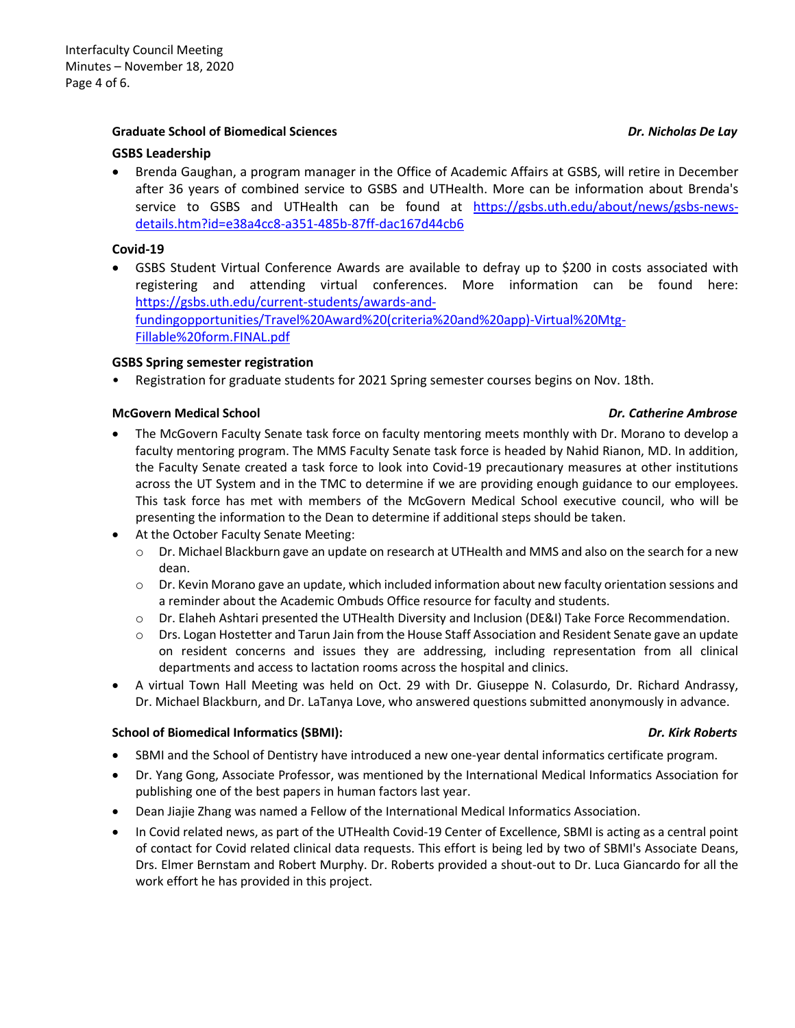## **Graduate School of Biomedical Sciences** *Dr. Nicholas De Lay*

### **GSBS Leadership**

• Brenda Gaughan, a program manager in the Office of Academic Affairs at GSBS, will retire in December after 36 years of combined service to GSBS and UTHealth. More can be information about Brenda's service to GSBS and UTHealth can be found at [https://gsbs.uth.edu/about/news/gsbs-news](https://gsbs.uth.edu/about/news/gsbs-news-details.htm?id=e38a4cc8-a351-485b-87ff-dac167d44cb6)[details.htm?id=e38a4cc8-a351-485b-87ff-dac167d44cb6](https://gsbs.uth.edu/about/news/gsbs-news-details.htm?id=e38a4cc8-a351-485b-87ff-dac167d44cb6)

## **Covid-19**

• GSBS Student Virtual Conference Awards are available to defray up to \$200 in costs associated with registering and attending virtual conferences. More information can be found here: [https://gsbs.uth.edu/current-students/awards-and](https://gsbs.uth.edu/current-students/awards-and-fundingopportunities/Travel%20Award%20(criteria%20and%20app)-Virtual%20Mtg-Fillable%20form.FINAL.pdf)[fundingopportunities/Travel%20Award%20\(criteria%20and%20app\)-Virtual%20Mtg-](https://gsbs.uth.edu/current-students/awards-and-fundingopportunities/Travel%20Award%20(criteria%20and%20app)-Virtual%20Mtg-Fillable%20form.FINAL.pdf)[Fillable%20form.FINAL.pdf](https://gsbs.uth.edu/current-students/awards-and-fundingopportunities/Travel%20Award%20(criteria%20and%20app)-Virtual%20Mtg-Fillable%20form.FINAL.pdf)

### **GSBS Spring semester registration**

• Registration for graduate students for 2021 Spring semester courses begins on Nov. 18th.

### **McGovern Medical School** *Dr. Catherine Ambrose*

- The McGovern Faculty Senate task force on faculty mentoring meets monthly with Dr. Morano to develop a faculty mentoring program. The MMS Faculty Senate task force is headed by Nahid Rianon, MD. In addition, the Faculty Senate created a task force to look into Covid-19 precautionary measures at other institutions across the UT System and in the TMC to determine if we are providing enough guidance to our employees. This task force has met with members of the McGovern Medical School executive council, who will be presenting the information to the Dean to determine if additional steps should be taken.
- At the October Faculty Senate Meeting:
	- $\circ$  Dr. Michael Blackburn gave an update on research at UTHealth and MMS and also on the search for a new dean.
	- o Dr. Kevin Morano gave an update, which included information about new faculty orientation sessions and a reminder about the Academic Ombuds Office resource for faculty and students.
	- o Dr. Elaheh Ashtari presented the UTHealth Diversity and Inclusion (DE&I) Take Force Recommendation.
	- o Drs. Logan Hostetter and Tarun Jain from the House Staff Association and Resident Senate gave an update on resident concerns and issues they are addressing, including representation from all clinical departments and access to lactation rooms across the hospital and clinics.
- A virtual Town Hall Meeting was held on Oct. 29 with Dr. Giuseppe N. Colasurdo, Dr. Richard Andrassy, Dr. Michael Blackburn, and Dr. LaTanya Love, who answered questions submitted anonymously in advance.

## **School of Biomedical Informatics (SBMI):** *Dr. Kirk Roberts*

- SBMI and the School of Dentistry have introduced a new one-year dental informatics certificate program.
- Dr. Yang Gong, Associate Professor, was mentioned by the International Medical Informatics Association for publishing one of the best papers in human factors last year.
- Dean Jiajie Zhang was named a Fellow of the International Medical Informatics Association.
- In Covid related news, as part of the UTHealth Covid-19 Center of Excellence, SBMI is acting as a central point of contact for Covid related clinical data requests. This effort is being led by two of SBMI's Associate Deans, Drs. Elmer Bernstam and Robert Murphy. Dr. Roberts provided a shout-out to Dr. Luca Giancardo for all the work effort he has provided in this project.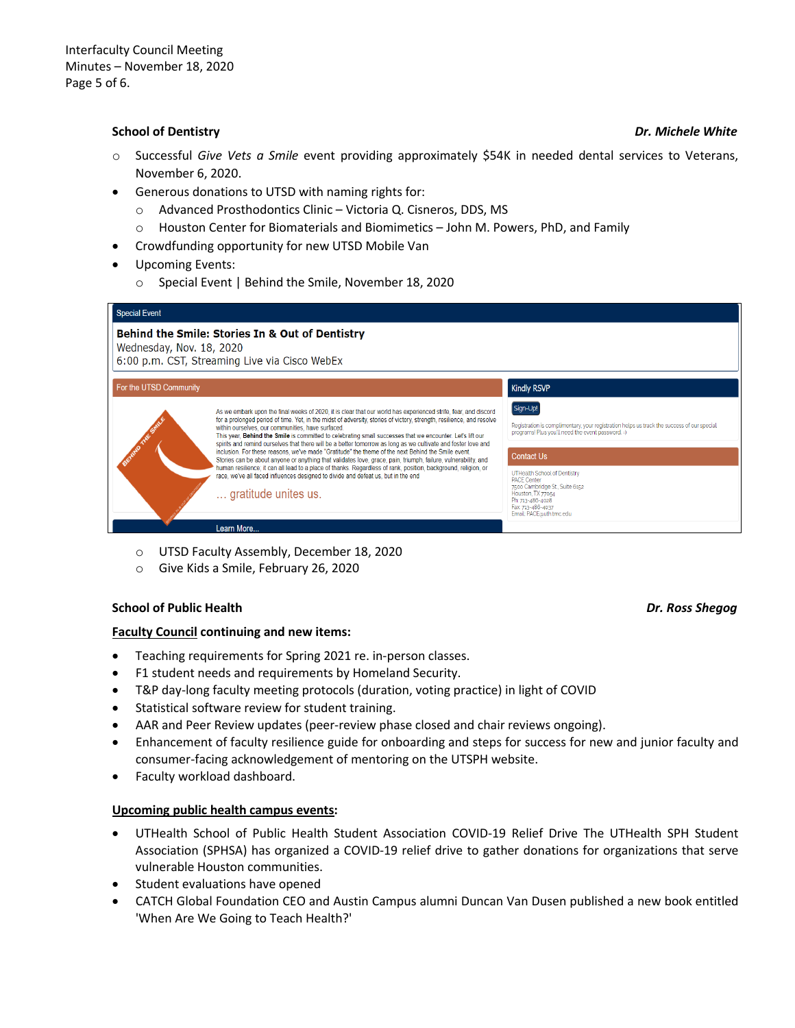## **School of Dentistry** *Dr. Michele White*

- o Successful *Give Vets a Smile* event providing approximately \$54K in needed dental services to Veterans, November 6, 2020.
- Generous donations to UTSD with naming rights for:
	- o Advanced Prosthodontics Clinic Victoria Q. Cisneros, DDS, MS
	- o Houston Center for Biomaterials and Biomimetics John M. Powers, PhD, and Family
- Crowdfunding opportunity for new UTSD Mobile Van
- Upcoming Events:
	- o Special Event | Behind the Smile, November 18, 2020

| <b>Special Event</b>                                                                                                         |                                                                                                                                                                                                                                                                                                                                                                                                                                                                                                                                                                                                                                                                                                                                                                                                                                                                                                                                                            |                                                                                                                                                             |
|------------------------------------------------------------------------------------------------------------------------------|------------------------------------------------------------------------------------------------------------------------------------------------------------------------------------------------------------------------------------------------------------------------------------------------------------------------------------------------------------------------------------------------------------------------------------------------------------------------------------------------------------------------------------------------------------------------------------------------------------------------------------------------------------------------------------------------------------------------------------------------------------------------------------------------------------------------------------------------------------------------------------------------------------------------------------------------------------|-------------------------------------------------------------------------------------------------------------------------------------------------------------|
| Behind the Smile: Stories In & Out of Dentistry<br>Wednesday, Nov. 18, 2020<br>6:00 p.m. CST, Streaming Live via Cisco WebEx |                                                                                                                                                                                                                                                                                                                                                                                                                                                                                                                                                                                                                                                                                                                                                                                                                                                                                                                                                            |                                                                                                                                                             |
| For the UTSD Community                                                                                                       |                                                                                                                                                                                                                                                                                                                                                                                                                                                                                                                                                                                                                                                                                                                                                                                                                                                                                                                                                            | <b>Kindly RSVP</b>                                                                                                                                          |
|                                                                                                                              | As we embark upon the final weeks of 2020, it is clear that our world has experienced strife, fear, and discord<br>for a prolonged period of time. Yet, in the midst of adversity, stories of victory, strength, resilience, and resolve<br>within ourselves, our communities, have surfaced.<br>This year, Behind the Smile is committed to celebrating small successes that we encounter. Let's lift our<br>spirits and remind ourselves that there will be a better tomorrow as long as we cultivate and foster love and<br>inclusion. For these reasons, we've made "Gratitude" the theme of the next Behind the Smile event.<br>Stories can be about anyone or anything that validates love, grace, pain, triumph, failure, vulnerability, and<br>human resilience; it can all lead to a place of thanks. Regardless of rank, position, background, religion, or<br>race, we've all faced influences designed to divide and defeat us, but in the end | Sign-Up!<br>Registration is complimentary, your registration helps us track the success of our special<br>programs! Plus you'll need the event password. =) |
|                                                                                                                              |                                                                                                                                                                                                                                                                                                                                                                                                                                                                                                                                                                                                                                                                                                                                                                                                                                                                                                                                                            | <b>Contact Us</b><br>UTHealth School of Dentistry                                                                                                           |
|                                                                                                                              | gratitude unites us.                                                                                                                                                                                                                                                                                                                                                                                                                                                                                                                                                                                                                                                                                                                                                                                                                                                                                                                                       | <b>PACE Center</b><br>7500 Cambridge St., Suite 6152<br>Houston, TX 77054<br>Ph: 713-486-4028<br>Fax: 713-486-4037<br>Email: PACE@uth.tmc.edu               |
|                                                                                                                              | Learn More                                                                                                                                                                                                                                                                                                                                                                                                                                                                                                                                                                                                                                                                                                                                                                                                                                                                                                                                                 |                                                                                                                                                             |

- o UTSD Faculty Assembly, December 18, 2020
- o Give Kids a Smile, February 26, 2020

### **School of Public Health** *Dr. Ross Shegog*

### **Faculty Council continuing and new items:**

- Teaching requirements for Spring 2021 re. in-person classes.
- F1 student needs and requirements by Homeland Security.
- T&P day-long faculty meeting protocols (duration, voting practice) in light of COVID
- Statistical software review for student training.
- AAR and Peer Review updates (peer-review phase closed and chair reviews ongoing).
- Enhancement of faculty resilience guide for onboarding and steps for success for new and junior faculty and consumer-facing acknowledgement of mentoring on the UTSPH website.
- Faculty workload dashboard.

## **Upcoming public health campus events:**

- UTHealth School of Public Health Student Association COVID-19 Relief Drive The UTHealth SPH Student Association (SPHSA) has organized a COVID-19 relief drive to gather donations for organizations that serve vulnerable Houston communities.
- Student evaluations have opened
- CATCH Global Foundation CEO and Austin Campus alumni Duncan Van Dusen published a new book entitled 'When Are We Going to Teach Health?'